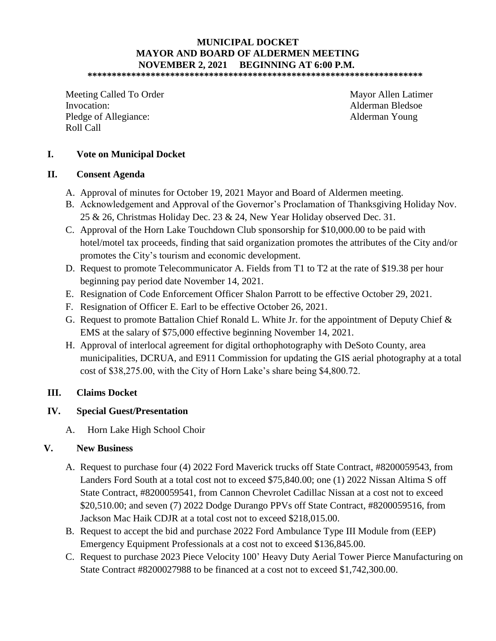# **MUNICIPAL DOCKET MAYOR AND BOARD OF ALDERMEN MEETING NOVEMBER 2, 2021 BEGINNING AT 6:00 P.M.**

**\*\*\*\*\*\*\*\*\*\*\*\*\*\*\*\*\*\*\*\*\*\*\*\*\*\*\*\*\*\*\*\*\*\*\*\*\*\*\*\*\*\*\*\*\*\*\*\*\*\*\*\*\*\*\*\*\*\*\*\*\*\*\*\*\*\*\*\*\*** 

Meeting Called To Order Mayor Allen Latimer Invocation: Alderman Bledsoe Pledge of Allegiance: Alderman Young Roll Call

### **I. Vote on Municipal Docket**

#### **II. Consent Agenda**

- A. Approval of minutes for October 19, 2021 Mayor and Board of Aldermen meeting.
- B. Acknowledgement and Approval of the Governor's Proclamation of Thanksgiving Holiday Nov. 25 & 26, Christmas Holiday Dec. 23 & 24, New Year Holiday observed Dec. 31.
- C. Approval of the Horn Lake Touchdown Club sponsorship for \$10,000.00 to be paid with hotel/motel tax proceeds, finding that said organization promotes the attributes of the City and/or promotes the City's tourism and economic development.
- D. Request to promote Telecommunicator A. Fields from T1 to T2 at the rate of \$19.38 per hour beginning pay period date November 14, 2021.
- E. Resignation of Code Enforcement Officer Shalon Parrott to be effective October 29, 2021.
- F. Resignation of Officer E. Earl to be effective October 26, 2021.
- G. Request to promote Battalion Chief Ronald L. White Jr. for the appointment of Deputy Chief & EMS at the salary of \$75,000 effective beginning November 14, 2021.
- H. Approval of interlocal agreement for digital orthophotography with DeSoto County, area municipalities, DCRUA, and E911 Commission for updating the GIS aerial photography at a total cost of \$38,275.00, with the City of Horn Lake's share being \$4,800.72.

## **III. Claims Docket**

## **IV. Special Guest/Presentation**

A. Horn Lake High School Choir

#### **V. New Business**

- A. Request to purchase four (4) 2022 Ford Maverick trucks off State Contract, #8200059543, from Landers Ford South at a total cost not to exceed \$75,840.00; one (1) 2022 Nissan Altima S off State Contract, #8200059541, from Cannon Chevrolet Cadillac Nissan at a cost not to exceed \$20,510.00; and seven (7) 2022 Dodge Durango PPVs off State Contract, #8200059516, from Jackson Mac Haik CDJR at a total cost not to exceed \$218,015.00.
- B. Request to accept the bid and purchase 2022 Ford Ambulance Type III Module from (EEP) Emergency Equipment Professionals at a cost not to exceed \$136,845.00.
- C. Request to purchase 2023 Piece Velocity 100' Heavy Duty Aerial Tower Pierce Manufacturing on State Contract #8200027988 to be financed at a cost not to exceed \$1,742,300.00.